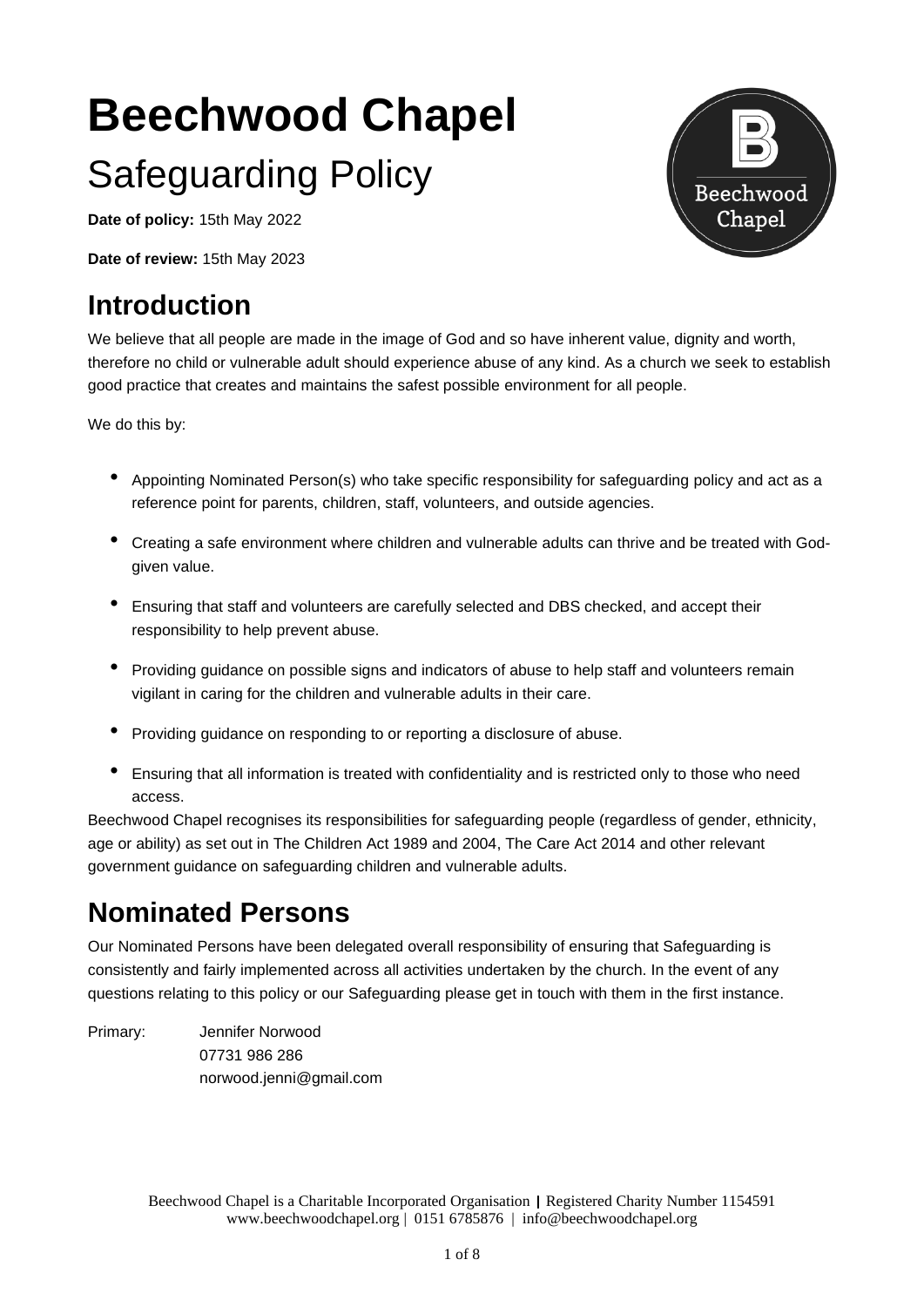# **Beechwood Chapel** Safeguarding Policy

**Date of policy:** 15th May 2022

**Date of review:** 15th May 2023

# **Introduction**

We believe that all people are made in the image of God and so have inherent value, dignity and worth, therefore no child or vulnerable adult should experience abuse of any kind. As a church we seek to establish good practice that creates and maintains the safest possible environment for all people.

We do this by:

- Appointing Nominated Person(s) who take specific responsibility for safeguarding policy and act as <sup>a</sup> reference point for parents, children, staff, volunteers, and outside agencies.
- Creating <sup>a</sup> safe environment where children and vulnerable adults can thrive and be treated with Godgiven value.
- Ensuring that staff and volunteers are carefully selected and DBS checked, and accept their responsibility to help prevent abuse.
- Providing guidance on possible signs and indicators of abuse to help staff and volunteers remain vigilant in caring for the children and vulnerable adults in their care.
- Providing guidance on responding to or reporting <sup>a</sup> disclosure of abuse.
- Ensuring that all information is treated with confidentiality and is restricted only to those who need access.

Beechwood Chapel recognises its responsibilities for safeguarding people (regardless of gender, ethnicity, age or ability) as set out in The Children Act 1989 and 2004, The Care Act 2014 and other relevant government guidance on safeguarding children and vulnerable adults.

# **Nominated Persons**

Our Nominated Persons have been delegated overall responsibility of ensuring that Safeguarding is consistently and fairly implemented across all activities undertaken by the church. In the event of any questions relating to this policy or our Safeguarding please get in touch with them in the first instance.

Primary: Jennifer Norwood 07731 986 286 norwood.jenni@gmail.com

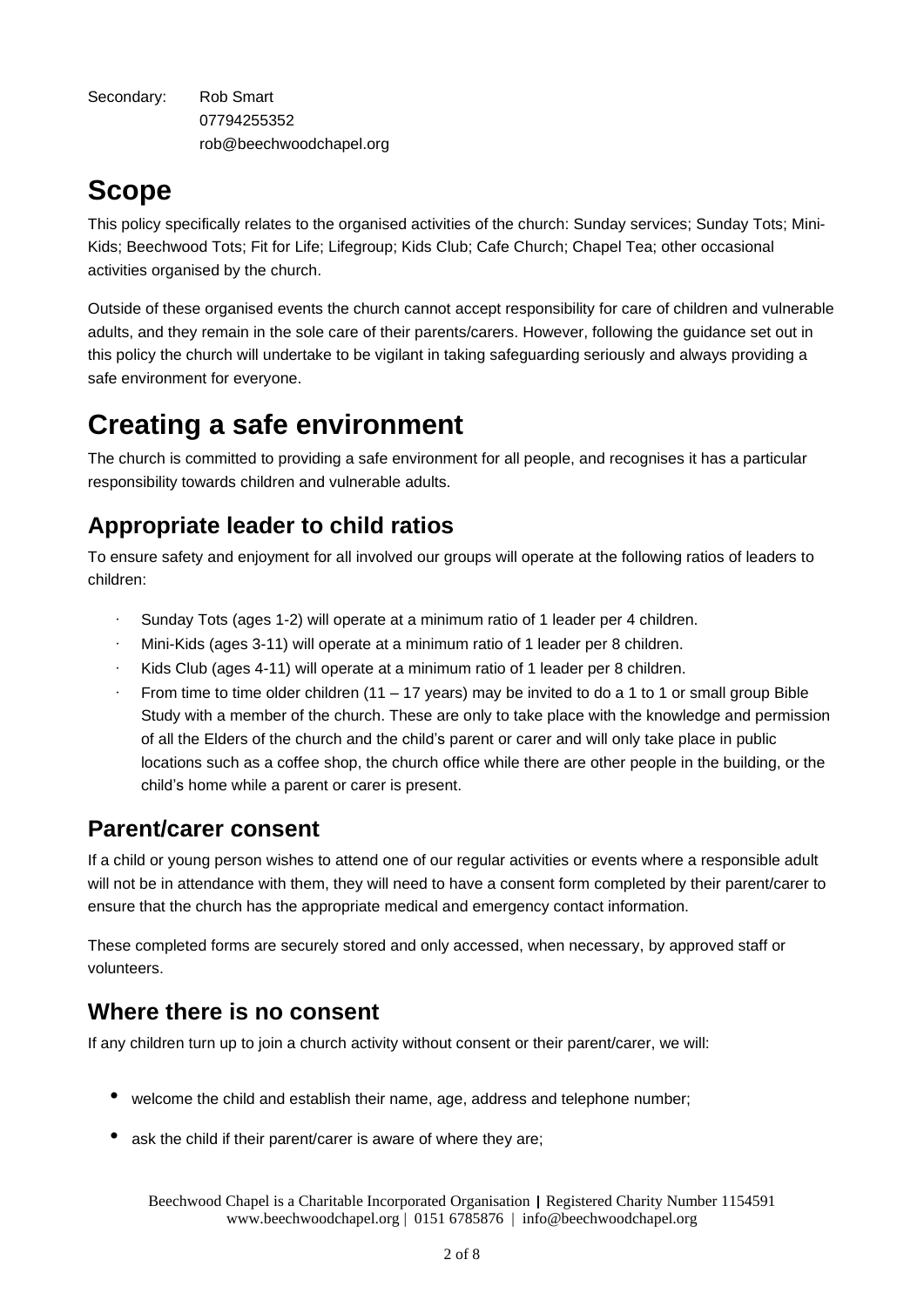Secondary: Rob Smart 07794255352 rob@beechwoodchapel.org

# **Scope**

This policy specifically relates to the organised activities of the church: Sunday services; Sunday Tots; Mini-Kids; Beechwood Tots; Fit for Life; Lifegroup; Kids Club; Cafe Church; Chapel Tea; other occasional activities organised by the church.

Outside of these organised events the church cannot accept responsibility for care of children and vulnerable adults, and they remain in the sole care of their parents/carers. However, following the guidance set out in this policy the church will undertake to be vigilant in taking safeguarding seriously and always providing a safe environment for everyone.

# **Creating a safe environment**

The church is committed to providing a safe environment for all people, and recognises it has a particular responsibility towards children and vulnerable adults.

# **Appropriate leader to child ratios**

To ensure safety and enjoyment for all involved our groups will operate at the following ratios of leaders to children:

- Sunday Tots (ages 1-2) will operate at a minimum ratio of 1 leader per 4 children.
- · Mini-Kids (ages 3-11) will operate at a minimum ratio of 1 leader per 8 children.
- Kids Club (ages 4-11) will operate at a minimum ratio of 1 leader per 8 children.
- From time to time older children (11 17 years) may be invited to do a 1 to 1 or small group Bible Study with a member of the church. These are only to take place with the knowledge and permission of all the Elders of the church and the child's parent or carer and will only take place in public locations such as a coffee shop, the church office while there are other people in the building, or the child's home while a parent or carer is present.

### **Parent/carer consent**

If a child or young person wishes to attend one of our regular activities or events where a responsible adult will not be in attendance with them, they will need to have a consent form completed by their parent/carer to ensure that the church has the appropriate medical and emergency contact information.

These completed forms are securely stored and only accessed, when necessary, by approved staff or volunteers.

# **Where there is no consent**

If any children turn up to join a church activity without consent or their parent/carer, we will:

- welcome the child and establish their name, age, address and telephone number;
- ask the child if their parent/carer is aware of where they are;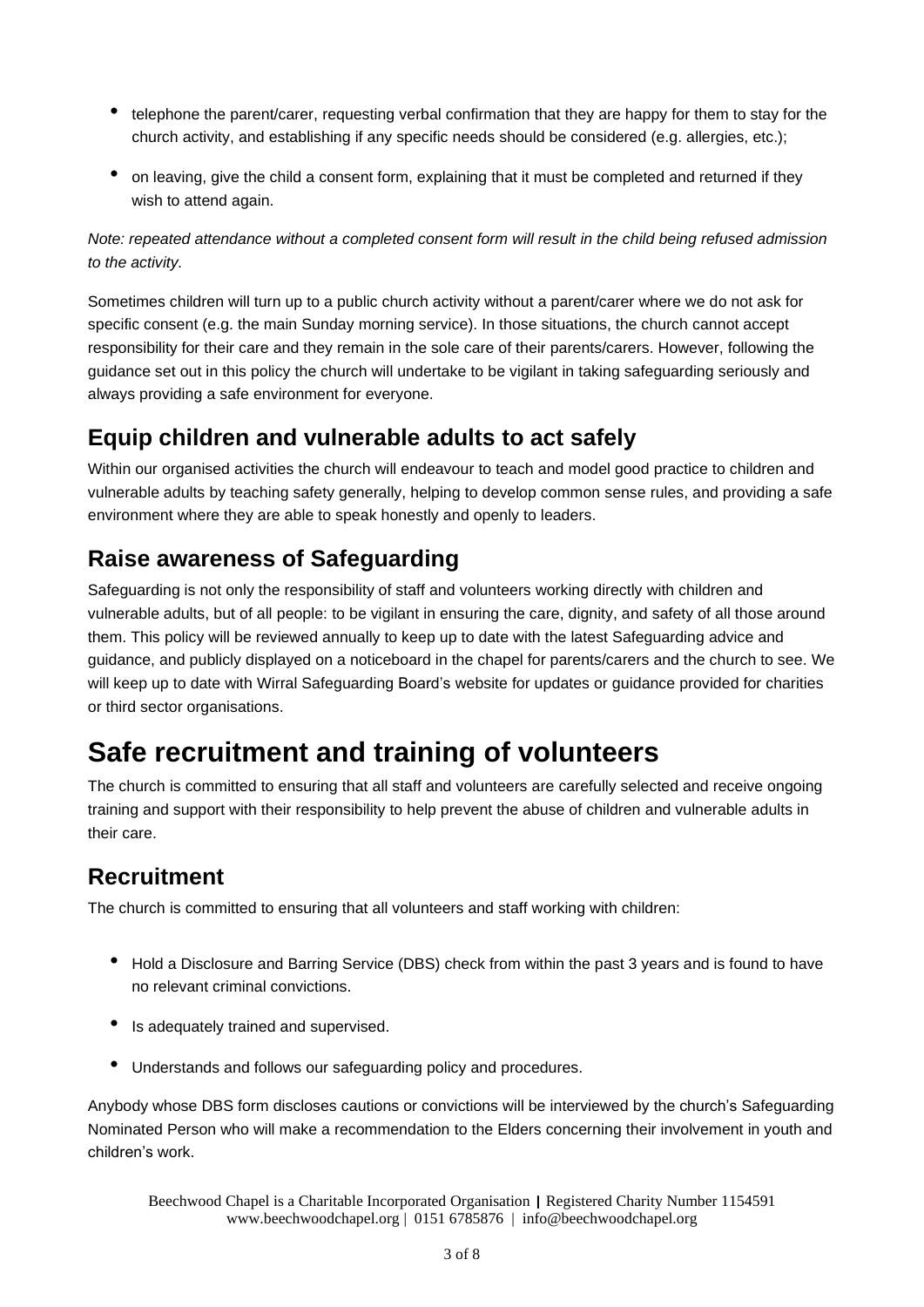- telephone the parent/carer, requesting verbal confirmation that they are happy for them to stay for the church activity, and establishing if any specific needs should be considered (e.g. allergies, etc.);
- on leaving, give the child <sup>a</sup> consent form, explaining that it must be completed and returned if they wish to attend again.

*Note: repeated attendance without a completed consent form will result in the child being refused admission to the activity.*

Sometimes children will turn up to a public church activity without a parent/carer where we do not ask for specific consent (e.g. the main Sunday morning service). In those situations, the church cannot accept responsibility for their care and they remain in the sole care of their parents/carers. However, following the guidance set out in this policy the church will undertake to be vigilant in taking safeguarding seriously and always providing a safe environment for everyone.

### **Equip children and vulnerable adults to act safely**

Within our organised activities the church will endeavour to teach and model good practice to children and vulnerable adults by teaching safety generally, helping to develop common sense rules, and providing a safe environment where they are able to speak honestly and openly to leaders.

### **Raise awareness of Safeguarding**

Safeguarding is not only the responsibility of staff and volunteers working directly with children and vulnerable adults, but of all people: to be vigilant in ensuring the care, dignity, and safety of all those around them. This policy will be reviewed annually to keep up to date with the latest Safeguarding advice and guidance, and publicly displayed on a noticeboard in the chapel for parents/carers and the church to see. We will keep up to date with Wirral Safeguarding Board's website for updates or guidance provided for charities or third sector organisations.

# **Safe recruitment and training of volunteers**

The church is committed to ensuring that all staff and volunteers are carefully selected and receive ongoing training and support with their responsibility to help prevent the abuse of children and vulnerable adults in their care.

### **Recruitment**

The church is committed to ensuring that all volunteers and staff working with children:

- Hold <sup>a</sup> Disclosure and Barring Service (DBS) check from within the past <sup>3</sup> years and is found to have no relevant criminal convictions.
- Is adequately trained and supervised.
- Understands and follows our safeguarding policy and procedures.

Anybody whose DBS form discloses cautions or convictions will be interviewed by the church's Safeguarding Nominated Person who will make a recommendation to the Elders concerning their involvement in youth and children's work.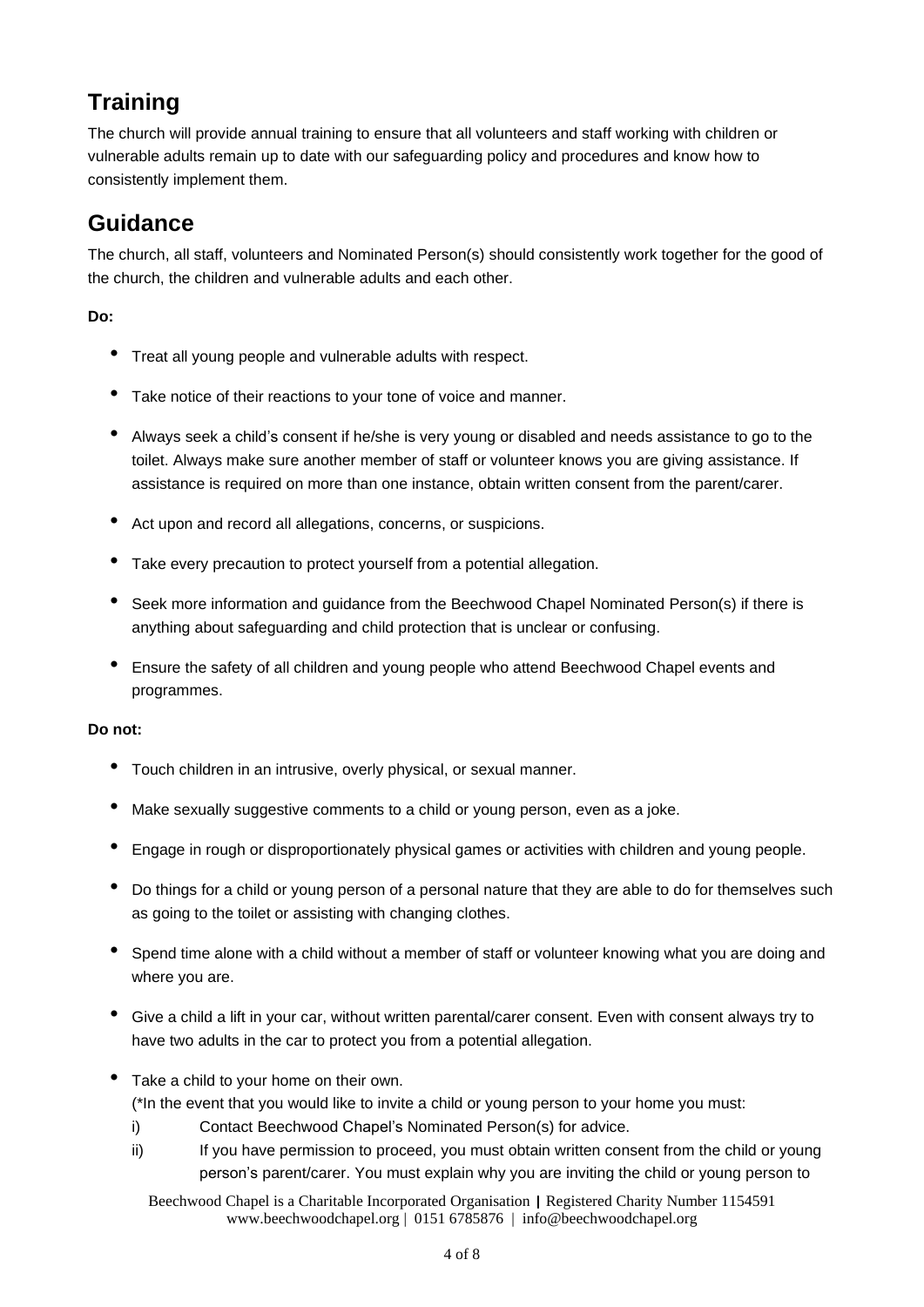# **Training**

The church will provide annual training to ensure that all volunteers and staff working with children or vulnerable adults remain up to date with our safeguarding policy and procedures and know how to consistently implement them.

### **Guidance**

The church, all staff, volunteers and Nominated Person(s) should consistently work together for the good of the church, the children and vulnerable adults and each other.

#### **Do:**

- Treat all young people and vulnerable adults with respect.
- Take notice of their reactions to your tone of voice and manner.
- Always seek <sup>a</sup> child's consent if he/she is very young or disabled and needs assistance to go to the toilet. Always make sure another member of staff or volunteer knows you are giving assistance. If assistance is required on more than one instance, obtain written consent from the parent/carer.
- Act upon and record all allegations, concerns, or suspicions.
- Take every precaution to protect yourself from <sup>a</sup> potential allegation.
- Seek more information and guidance from the Beechwood Chapel Nominated Person(s) if there is anything about safeguarding and child protection that is unclear or confusing.
- Ensure the safety of all children and young people who attend Beechwood Chapel events and programmes.

#### **Do not:**

- Touch children in an intrusive, overly physical, or sexual manner.
- Make sexually suggestive comments to <sup>a</sup> child or young person, even as <sup>a</sup> joke.
- Engage in rough or disproportionately physical games or activities with children and young people.
- Do things for <sup>a</sup> child or young person of <sup>a</sup> personal nature that they are able to do for themselves such as going to the toilet or assisting with changing clothes.
- Spend time alone with <sup>a</sup> child without <sup>a</sup> member of staff or volunteer knowing what you are doing and where you are.
- Give <sup>a</sup> child <sup>a</sup> lift in your car, without written parental/carer consent. Even with consent always try to have two adults in the car to protect you from a potential allegation.
- Take <sup>a</sup> child to your home on their own.

(\*In the event that you would like to invite a child or young person to your home you must:

- i) Contact Beechwood Chapel's Nominated Person(s) for advice.
- ii) If you have permission to proceed, you must obtain written consent from the child or young person's parent/carer. You must explain why you are inviting the child or young person to
	- Beechwood Chapel is a Charitable Incorporated Organisation | Registered Charity Number 1154591 www.beechwoodchapel.org | 0151 6785876 | info@beechwoodchapel.org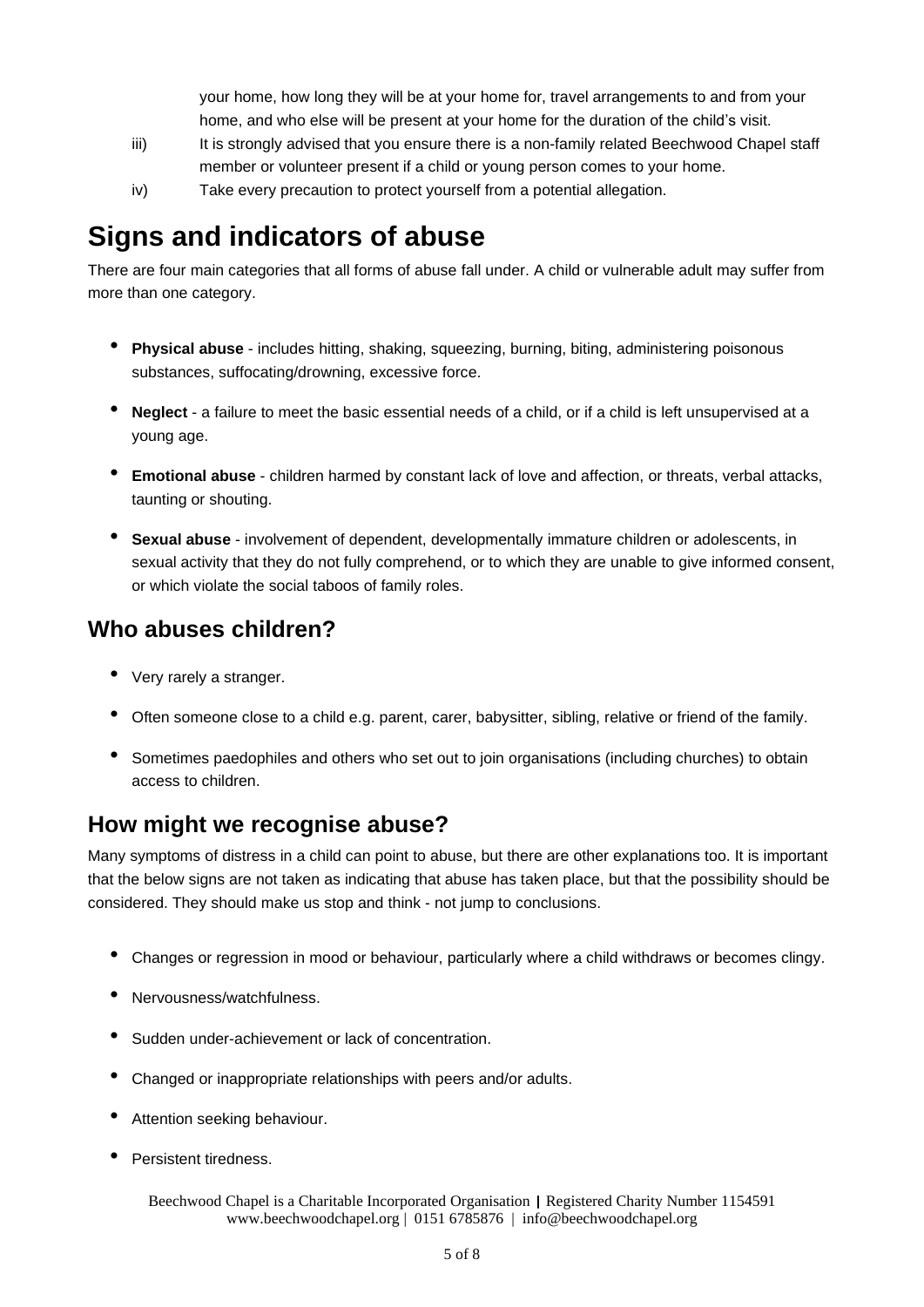your home, how long they will be at your home for, travel arrangements to and from your home, and who else will be present at your home for the duration of the child's visit.

- iii) It is strongly advised that you ensure there is a non-family related Beechwood Chapel staff member or volunteer present if a child or young person comes to your home.
- iv) Take every precaution to protect yourself from a potential allegation.

# **Signs and indicators of abuse**

There are four main categories that all forms of abuse fall under. A child or vulnerable adult may suffer from more than one category.

- **Physical abuse** includes hitting, shaking, squeezing, burning, biting, administering poisonous substances, suffocating/drowning, excessive force.
- **Neglect** <sup>a</sup> failure to meet the basic essential needs of <sup>a</sup> child, or if <sup>a</sup> child is left unsupervised at <sup>a</sup> young age.
- **Emotional abuse** children harmed by constant lack of love and affection, or threats, verbal attacks, taunting or shouting.
- **Sexual abuse** involvement of dependent, developmentally immature children or adolescents, in sexual activity that they do not fully comprehend, or to which they are unable to give informed consent, or which violate the social taboos of family roles.

### **Who abuses children?**

- Very rarely a stranger.
- Often someone close to <sup>a</sup> child e.g. parent, carer, babysitter, sibling, relative or friend of the family.
- Sometimes paedophiles and others who set out to join organisations (including churches) to obtain access to children.

### **How might we recognise abuse?**

Many symptoms of distress in a child can point to abuse, but there are other explanations too. It is important that the below signs are not taken as indicating that abuse has taken place, but that the possibility should be considered. They should make us stop and think - not jump to conclusions.

- Changes or regression in mood or behaviour, particularly where <sup>a</sup> child withdraws or becomes clingy.
- Nervousness/watchfulness.
- Sudden under-achievement or lack of concentration.
- Changed or inappropriate relationships with peers and/or adults.
- Attention seeking behaviour.
- Persistent tiredness.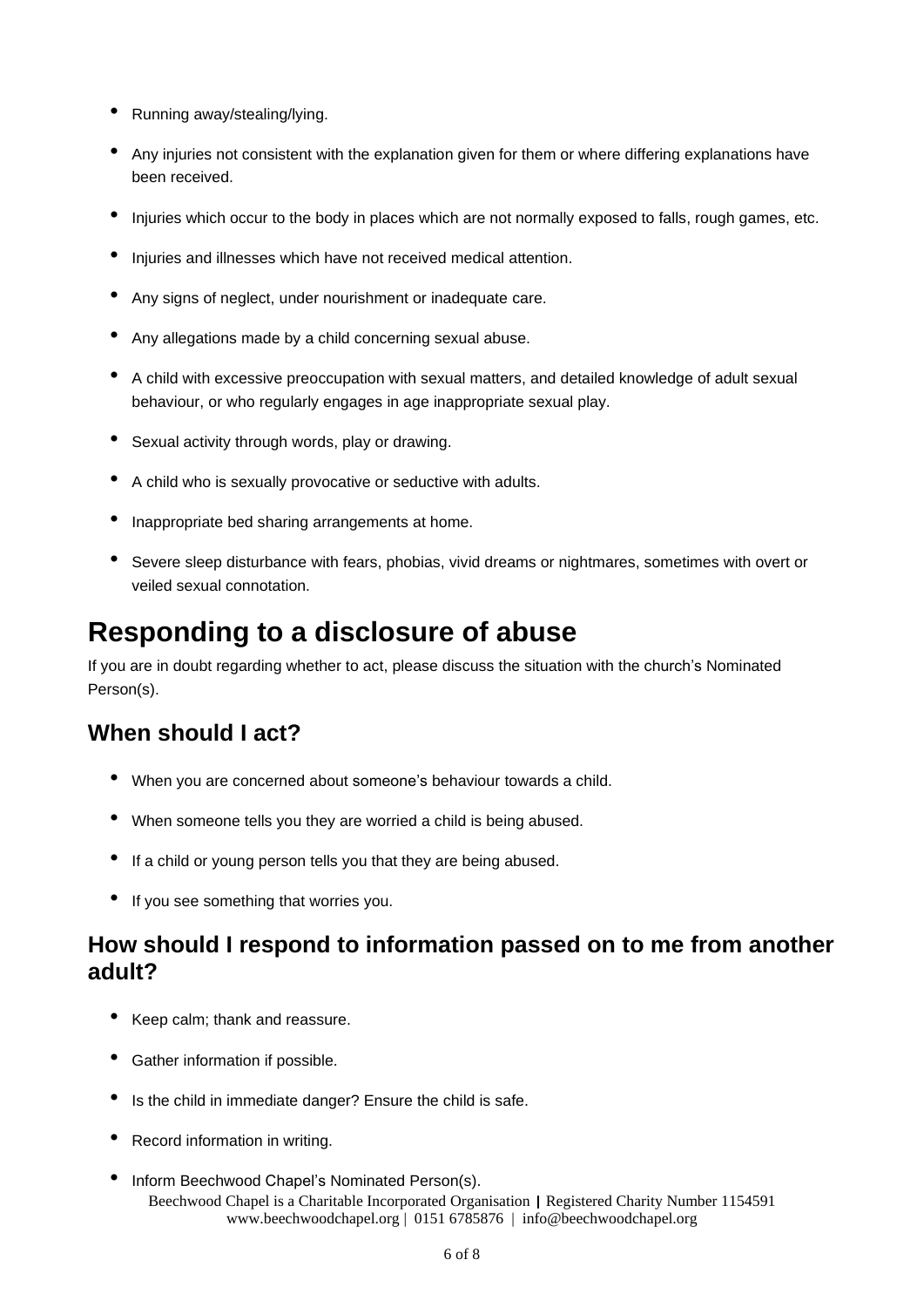- Running away/stealing/lying.
- Any injuries not consistent with the explanation given for them or where differing explanations have been received.
- Injuries which occur to the body in places which are not normally exposed to falls, rough games, etc.
- Injuries and illnesses which have not received medical attention.
- Any signs of neglect, under nourishment or inadequate care.
- Any allegations made by <sup>a</sup> child concerning sexual abuse.
- <sup>A</sup> child with excessive preoccupation with sexual matters, and detailed knowledge of adult sexual behaviour, or who regularly engages in age inappropriate sexual play.
- Sexual activity through words, play or drawing.
- <sup>A</sup> child who is sexually provocative or seductive with adults.
- Inappropriate bed sharing arrangements at home.
- Severe sleep disturbance with fears, phobias, vivid dreams or nightmares, sometimes with overt or veiled sexual connotation.

# **Responding to a disclosure of abuse**

If you are in doubt regarding whether to act, please discuss the situation with the church's Nominated Person(s).

### **When should I act?**

- When you are concerned about someone's behaviour towards <sup>a</sup> child.
- When someone tells you they are worried <sup>a</sup> child is being abused.
- If <sup>a</sup> child or young person tells you that they are being abused.
- If you see something that worries you.

### **How should I respond to information passed on to me from another adult?**

- Keep calm; thank and reassure.
- Gather information if possible.
- Is the child in immediate danger? Ensure the child is safe.
- Record information in writing.
- Beechwood Chapel is a Charitable Incorporated Organisation | Registered Charity Number 1154591 www.beechwoodchapel.org | 0151 6785876 | info@beechwoodchapel.org • Inform Beechwood Chapel's Nominated Person(s).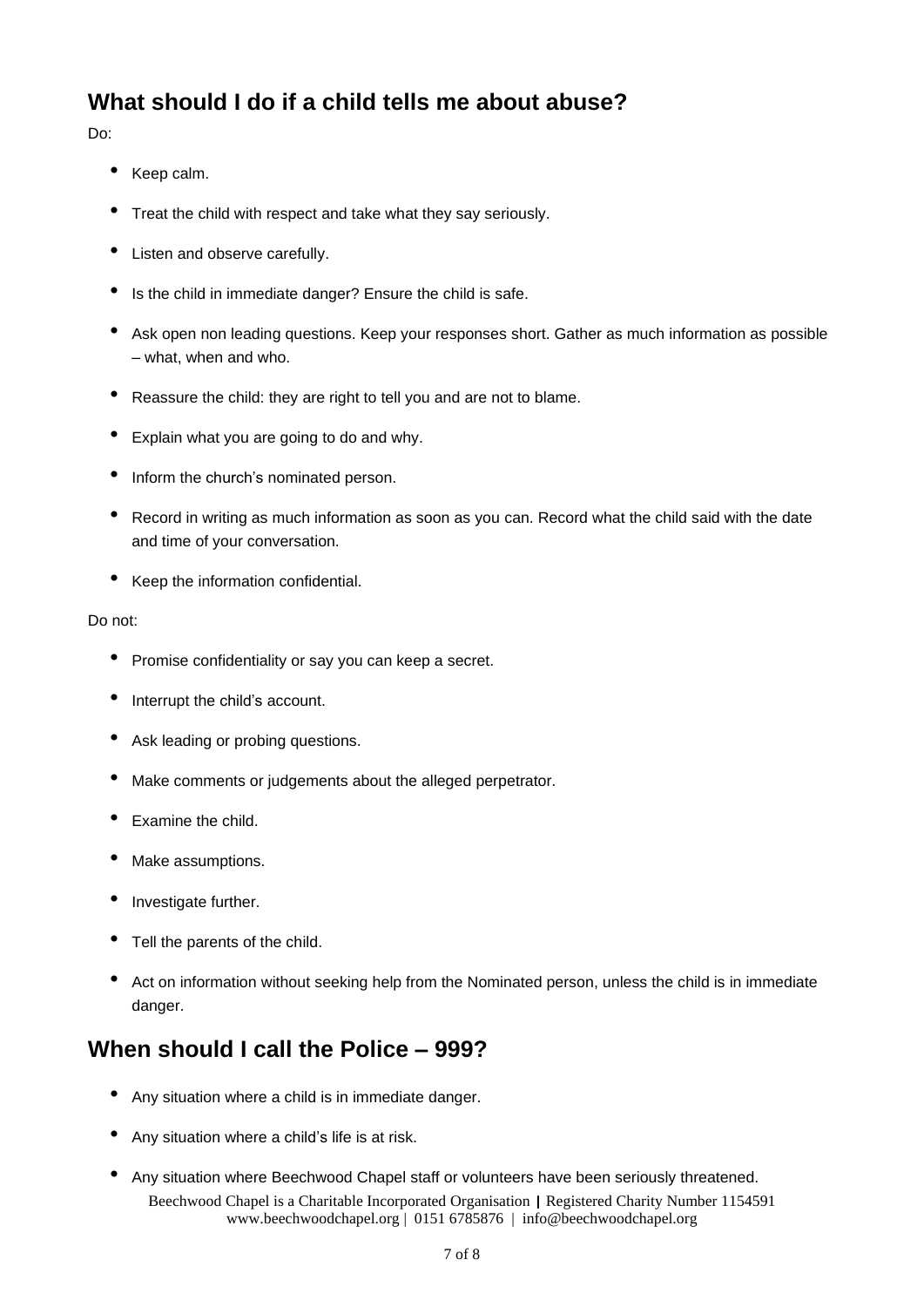### **What should I do if a child tells me about abuse?**

Do:

- Keep calm.
- Treat the child with respect and take what they say seriously.
- Listen and observe carefully.
- Is the child in immediate danger? Ensure the child is safe.
- Ask open non leading questions. Keep your responses short. Gather as much information as possible – what, when and who.
- Reassure the child: they are right to tell you and are not to blame.
- Explain what you are going to do and why.
- Inform the church's nominated person.
- Record in writing as much information as soon as you can. Record what the child said with the date and time of your conversation.
- Keep the information confidential.

#### Do not:

- Promise confidentiality or say you can keep <sup>a</sup> secret.
- Interrupt the child's account.
- Ask leading or probing questions.
- Make comments or judgements about the alleged perpetrator.
- Examine the child.
- Make assumptions.
- Investigate further.
- Tell the parents of the child.
- Act on information without seeking help from the Nominated person, unless the child is in immediate danger.

### **When should I call the Police – 999?**

- Any situation where <sup>a</sup> child is in immediate danger.
- Any situation where <sup>a</sup> child's life is at risk.
- Beechwood Chapel is a Charitable Incorporated Organisation | Registered Charity Number 1154591 www.beechwoodchapel.org | 0151 6785876 | info@beechwoodchapel.org • Any situation where Beechwood Chapel staff or volunteers have been seriously threatened.